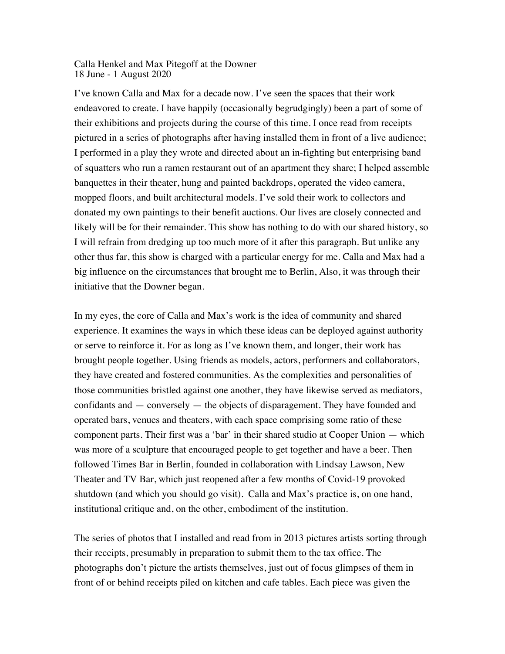## Calla Henkel and Max Pitegoff at the Downer 18 June - 1 August 2020

I've known Calla and Max for a decade now. I've seen the spaces that their work endeavored to create. I have happily (occasionally begrudgingly) been a part of some of their exhibitions and projects during the course of this time. I once read from receipts pictured in a series of photographs after having installed them in front of a live audience; I performed in a play they wrote and directed about an in-fighting but enterprising band of squatters who run a ramen restaurant out of an apartment they share; I helped assemble banquettes in their theater, hung and painted backdrops, operated the video camera, mopped floors, and built architectural models. I've sold their work to collectors and donated my own paintings to their benefit auctions. Our lives are closely connected and likely will be for their remainder. This show has nothing to do with our shared history, so I will refrain from dredging up too much more of it after this paragraph. But unlike any other thus far, this show is charged with a particular energy for me. Calla and Max had a big influence on the circumstances that brought me to Berlin, Also, it was through their initiative that the Downer began.

In my eyes, the core of Calla and Max's work is the idea of community and shared experience. It examines the ways in which these ideas can be deployed against authority or serve to reinforce it. For as long as I've known them, and longer, their work has brought people together. Using friends as models, actors, performers and collaborators, they have created and fostered communities. As the complexities and personalities of those communities bristled against one another, they have likewise served as mediators, confidants and — conversely — the objects of disparagement. They have founded and operated bars, venues and theaters, with each space comprising some ratio of these component parts. Their first was a 'bar' in their shared studio at Cooper Union — which was more of a sculpture that encouraged people to get together and have a beer. Then followed Times Bar in Berlin, founded in collaboration with Lindsay Lawson, New Theater and TV Bar, which just reopened after a few months of Covid-19 provoked shutdown (and which you should go visit). Calla and Max's practice is, on one hand, institutional critique and, on the other, embodiment of the institution.

The series of photos that I installed and read from in 2013 pictures artists sorting through their receipts, presumably in preparation to submit them to the tax office. The photographs don't picture the artists themselves, just out of focus glimpses of them in front of or behind receipts piled on kitchen and cafe tables. Each piece was given the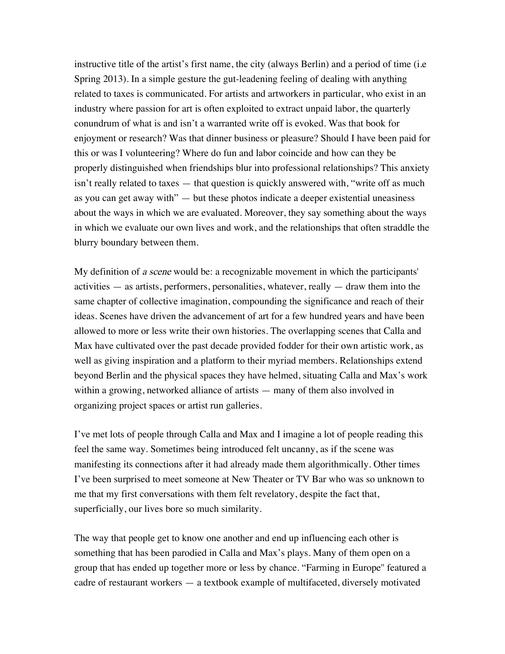instructive title of the artist's first name, the city (always Berlin) and a period of time (i.e Spring 2013). In a simple gesture the gut-leadening feeling of dealing with anything related to taxes is communicated. For artists and artworkers in particular, who exist in an industry where passion for art is often exploited to extract unpaid labor, the quarterly conundrum of what is and isn't a warranted write off is evoked. Was that book for enjoyment or research? Was that dinner business or pleasure? Should I have been paid for this or was I volunteering? Where do fun and labor coincide and how can they be properly distinguished when friendships blur into professional relationships? This anxiety isn't really related to taxes — that question is quickly answered with, "write off as much as you can get away with" — but these photos indicate a deeper existential uneasiness about the ways in which we are evaluated. Moreover, they say something about the ways in which we evaluate our own lives and work, and the relationships that often straddle the blurry boundary between them.

My definition of a scene would be: a recognizable movement in which the participants' activities — as artists, performers, personalities, whatever, really — draw them into the same chapter of collective imagination, compounding the significance and reach of their ideas. Scenes have driven the advancement of art for a few hundred years and have been allowed to more or less write their own histories. The overlapping scenes that Calla and Max have cultivated over the past decade provided fodder for their own artistic work, as well as giving inspiration and a platform to their myriad members. Relationships extend beyond Berlin and the physical spaces they have helmed, situating Calla and Max's work within a growing, networked alliance of artists — many of them also involved in organizing project spaces or artist run galleries.

I've met lots of people through Calla and Max and I imagine a lot of people reading this feel the same way. Sometimes being introduced felt uncanny, as if the scene was manifesting its connections after it had already made them algorithmically. Other times I've been surprised to meet someone at New Theater or TV Bar who was so unknown to me that my first conversations with them felt revelatory, despite the fact that, superficially, our lives bore so much similarity.

The way that people get to know one another and end up influencing each other is something that has been parodied in Calla and Max's plays. Many of them open on a group that has ended up together more or less by chance. "Farming in Europe'' featured a cadre of restaurant workers — a textbook example of multifaceted, diversely motivated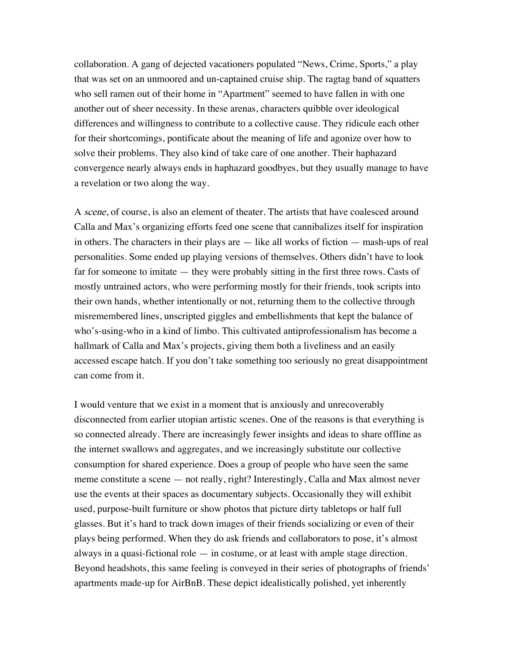collaboration. A gang of dejected vacationers populated "News, Crime, Sports," a play that was set on an unmoored and un-captained cruise ship. The ragtag band of squatters who sell ramen out of their home in "Apartment" seemed to have fallen in with one another out of sheer necessity. In these arenas, characters quibble over ideological differences and willingness to contribute to a collective cause. They ridicule each other for their shortcomings, pontificate about the meaning of life and agonize over how to solve their problems. They also kind of take care of one another. Their haphazard convergence nearly always ends in haphazard goodbyes, but they usually manage to have a revelation or two along the way.

A scene, of course, is also an element of theater. The artists that have coalesced around Calla and Max's organizing efforts feed one scene that cannibalizes itself for inspiration in others. The characters in their plays are — like all works of fiction — mash-ups of real personalities. Some ended up playing versions of themselves. Others didn't have to look far for someone to imitate — they were probably sitting in the first three rows. Casts of mostly untrained actors, who were performing mostly for their friends, took scripts into their own hands, whether intentionally or not, returning them to the collective through misremembered lines, unscripted giggles and embellishments that kept the balance of who's-using-who in a kind of limbo. This cultivated antiprofessionalism has become a hallmark of Calla and Max's projects, giving them both a liveliness and an easily accessed escape hatch. If you don't take something too seriously no great disappointment can come from it.

I would venture that we exist in a moment that is anxiously and unrecoverably disconnected from earlier utopian artistic scenes. One of the reasons is that everything is so connected already. There are increasingly fewer insights and ideas to share offline as the internet swallows and aggregates, and we increasingly substitute our collective consumption for shared experience. Does a group of people who have seen the same meme constitute a scene — not really, right? Interestingly, Calla and Max almost never use the events at their spaces as documentary subjects. Occasionally they will exhibit used, purpose-built furniture or show photos that picture dirty tabletops or half full glasses. But it's hard to track down images of their friends socializing or even of their plays being performed. When they do ask friends and collaborators to pose, it's almost always in a quasi-fictional role — in costume, or at least with ample stage direction. Beyond headshots, this same feeling is conveyed in their series of photographs of friends' apartments made-up for AirBnB. These depict idealistically polished, yet inherently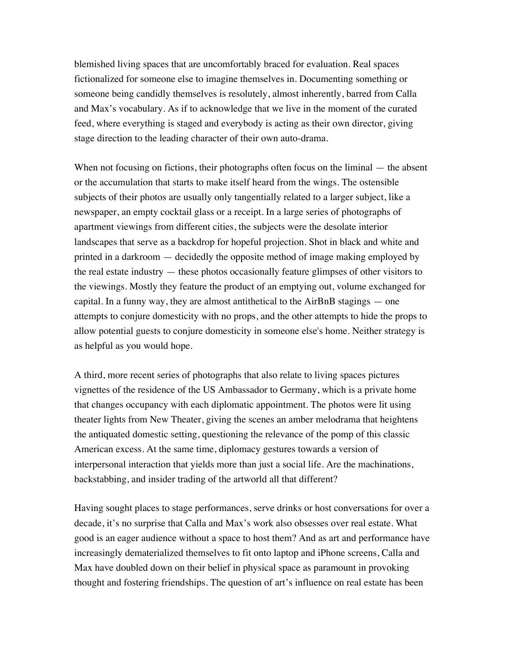blemished living spaces that are uncomfortably braced for evaluation. Real spaces fictionalized for someone else to imagine themselves in. Documenting something or someone being candidly themselves is resolutely, almost inherently, barred from Calla and Max's vocabulary. As if to acknowledge that we live in the moment of the curated feed, where everything is staged and everybody is acting as their own director, giving stage direction to the leading character of their own auto-drama.

When not focusing on fictions, their photographs often focus on the liminal — the absent or the accumulation that starts to make itself heard from the wings. The ostensible subjects of their photos are usually only tangentially related to a larger subject, like a newspaper, an empty cocktail glass or a receipt. In a large series of photographs of apartment viewings from different cities, the subjects were the desolate interior landscapes that serve as a backdrop for hopeful projection. Shot in black and white and printed in a darkroom — decidedly the opposite method of image making employed by the real estate industry — these photos occasionally feature glimpses of other visitors to the viewings. Mostly they feature the product of an emptying out, volume exchanged for capital. In a funny way, they are almost antithetical to the AirBnB stagings — one attempts to conjure domesticity with no props, and the other attempts to hide the props to allow potential guests to conjure domesticity in someone else's home. Neither strategy is as helpful as you would hope.

A third, more recent series of photographs that also relate to living spaces pictures vignettes of the residence of the US Ambassador to Germany, which is a private home that changes occupancy with each diplomatic appointment. The photos were lit using theater lights from New Theater, giving the scenes an amber melodrama that heightens the antiquated domestic setting, questioning the relevance of the pomp of this classic American excess. At the same time, diplomacy gestures towards a version of interpersonal interaction that yields more than just a social life. Are the machinations, backstabbing, and insider trading of the artworld all that different?

Having sought places to stage performances, serve drinks or host conversations for over a decade, it's no surprise that Calla and Max's work also obsesses over real estate. What good is an eager audience without a space to host them? And as art and performance have increasingly dematerialized themselves to fit onto laptop and iPhone screens, Calla and Max have doubled down on their belief in physical space as paramount in provoking thought and fostering friendships. The question of art's influence on real estate has been